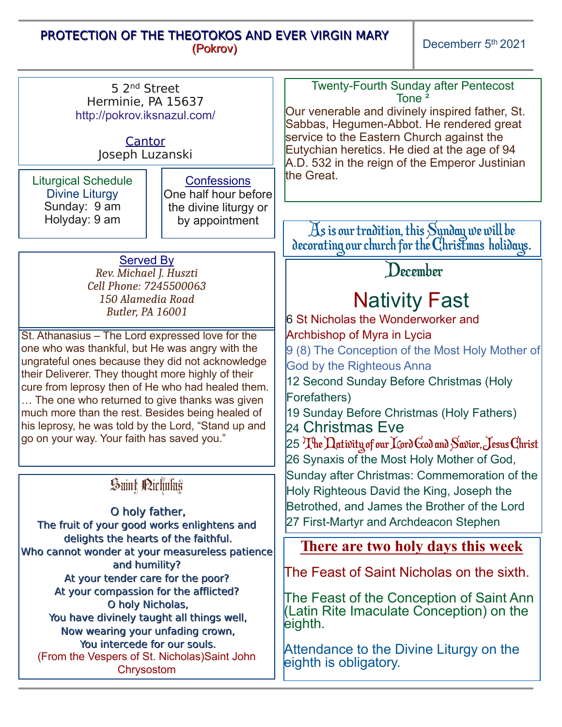## PROTECTION OF THE THEOTOKOS AND EVER VIRGIN MARY (Pokrov)

Decemberr 5<sup>th</sup> 2021

| 5 2 <sup>nd</sup> Street<br>Herminie, PA 15637<br>http://pokrov.iksnazul.com/<br>Cantor<br>Joseph Luzanski                                                                                                                                                                                                                                                                                                                                                                   | <b>Twenty-Fourth Sunday after Pentecost</b><br>Tone <sup>2</sup><br>Our venerable and divinely inspired father, St.<br>Sabbas, Hegumen-Abbot. He rendered great<br>service to the Eastern Church against the<br>Eutychian heretics. He died at the age of 94<br>A.D. 532 in the reign of the Emperor Justinian<br>the Great.                                                                                         |
|------------------------------------------------------------------------------------------------------------------------------------------------------------------------------------------------------------------------------------------------------------------------------------------------------------------------------------------------------------------------------------------------------------------------------------------------------------------------------|----------------------------------------------------------------------------------------------------------------------------------------------------------------------------------------------------------------------------------------------------------------------------------------------------------------------------------------------------------------------------------------------------------------------|
| <b>Liturgical Schedule</b><br><b>Confessions</b><br><b>Divine Liturgy</b><br>One half hour before<br>Sunday: 9 am<br>the divine liturgy or<br>Holyday: 9 am<br>by appointment                                                                                                                                                                                                                                                                                                |                                                                                                                                                                                                                                                                                                                                                                                                                      |
| <b>Served By</b><br>Rev. Michael J. Huszti<br>Cell Phone: 7245500063                                                                                                                                                                                                                                                                                                                                                                                                         | As is our tradition, this Sunday we will be<br>decorating our church for the Christmas holidays.<br>December                                                                                                                                                                                                                                                                                                         |
| 150 Alamedia Road<br><b>Butler, PA 16001</b>                                                                                                                                                                                                                                                                                                                                                                                                                                 | <b>Nativity Fast</b><br><b>6 St Nicholas the Wonderworker and</b>                                                                                                                                                                                                                                                                                                                                                    |
| St. Athanasius - The Lord expressed love for the<br>one who was thankful, but He was angry with the<br>ungrateful ones because they did not acknowledge<br>their Deliverer. They thought more highly of their<br>cure from leprosy then of He who had healed them.<br>The one who returned to give thanks was given<br>much more than the rest. Besides being healed of<br>his leprosy, he was told by the Lord, "Stand up and<br>go on your way. Your faith has saved you." | Archbishop of Myra in Lycia<br>9 (8) The Conception of the Most Holy Mother of<br><b>God by the Righteous Anna</b><br>12 Second Sunday Before Christmas (Holy<br>Forefathers)<br>19 Sunday Before Christmas (Holy Fathers)<br>l24 Christmas Eve<br>$25\ {\rm The\,}$ $\rm{L}$ ativity of our $\rm{K}$ ord $\rm{C}$ od and $\rm{S}$ avior, $\rm{J}$ esus $\rm{C}$ hrist<br>26 Synaxis of the Most Holy Mother of God, |
| Suint Pirlining<br>O holy father,<br>The fruit of your good works enlightens and                                                                                                                                                                                                                                                                                                                                                                                             | Sunday after Christmas: Commemoration of the<br>Holy Righteous David the King, Joseph the<br>Betrothed, and James the Brother of the Lord<br>27 First-Martyr and Archdeacon Stephen                                                                                                                                                                                                                                  |
| delights the hearts of the faithful.<br>Who cannot wonder at your measureless patience                                                                                                                                                                                                                                                                                                                                                                                       | There are two holy days this week                                                                                                                                                                                                                                                                                                                                                                                    |
| and humility?<br>At your tender care for the poor?                                                                                                                                                                                                                                                                                                                                                                                                                           | The Feast of Saint Nicholas on the sixth.                                                                                                                                                                                                                                                                                                                                                                            |
| At your compassion for the afflicted?<br>O holy Nicholas,<br>You have divinely taught all things well,<br>Now wearing your unfading crown,                                                                                                                                                                                                                                                                                                                                   | The Feast of the Conception of Saint Ann<br>(Latin Rite Imaculate Conception) on the<br>eighth.                                                                                                                                                                                                                                                                                                                      |
| You intercede for our souls.<br>(From the Vespers of St. Nicholas) Saint John<br>Chrysostom                                                                                                                                                                                                                                                                                                                                                                                  | Attendance to the Divine Liturgy on the<br>eighth is obligatory.                                                                                                                                                                                                                                                                                                                                                     |